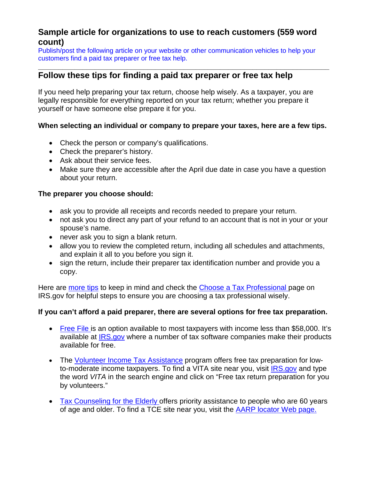# **Sample article for organizations to use to reach customers (559 word count)**

Publish/post the following article on your website or other communication vehicles to help your customers find a paid tax preparer or free tax help.

#### **\_\_\_\_\_\_\_\_\_\_\_\_\_\_\_\_\_\_\_\_\_\_\_\_\_\_\_\_\_\_\_\_\_\_\_\_\_\_\_\_\_\_\_\_\_\_\_\_\_\_\_\_\_\_\_\_\_\_\_\_\_\_\_\_\_\_\_\_\_\_\_\_ Follow these tips for finding a paid tax preparer or free tax help**

If you need help preparing your tax return, choose help wisely. As a taxpayer, you are legally responsible for everything reported on your tax return; whether you prepare it yourself or have someone else prepare it for you.

### **When selecting an individual or company to prepare your taxes, here are a few tips.**

- Check the person or company's qualifications.
- Check the preparer's history.
- Ask about their service fees.
- Make sure they are accessible after the April due date in case you have a question about your return.

### **The preparer you choose should:**

- ask you to provide all receipts and records needed to prepare your return.
- not ask you to direct any part of your refund to an account that is not in your or your spouse's name.
- never ask you to sign a blank return.
- allow you to review the completed return, including all schedules and attachments, and explain it all to you before you sign it.
- sign the return, include their preparer tax identification number and provide you a copy.

Here are [more tips](https://www.irs.gov/uac/Newsroom/Tax-Preparedness-Series-Make-a-Wise-Choice-when-Selecting-a-Tax-Preparer) to keep in mind and check the [Choose a Tax Professional p](https://www.irs.gov/Tax-Professionals/e-File-Providers-&-Partners/Choose-a-Tax-Professional)age on IRS.gov for helpful steps to ensure you are choosing a tax professional wisely.

### **If you can't afford a paid preparer, there are several options for free tax preparation.**

- [Free File](http://www.irs.gov/Filing/Filing-Options) is an option available to most taxpayers with income less than \$58,000. It's available at [IRS.gov](http://www.irs.gov/) where a number of tax software companies make their products available for free.
- The Volunteer [Income](http://www.irs.gov/Individuals/Free-Tax-Return-Preparation-for-You-by-Volunteers) Tax Assistance program offers free tax preparation for lowto-moderate income taxpayers. To find a VITA site near you, visit [IRS.gov](https://www.irs.gov/) and type the word *VITA* in the search engine and click on "Free tax return preparation for you by volunteers."
- Tax [Counseling](http://www.irs.gov/Individuals/Free-Tax-Return-Preparation-for-You-by-Volunteers) for the Elderly offers priority assistance to people who are 60 years of age and older. To find a TCE site near you, visit the [AARP locator Web page.](http://www.aarp.org/applications/VMISLocator/searchTaxAideLocations.action)